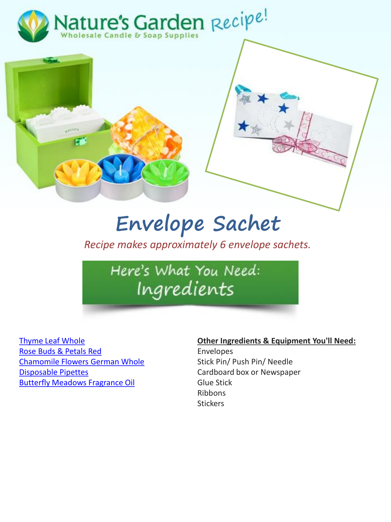



## **Envelope Sachet**

*Recipe makes approximately 6 envelope sachets.*

Here's What You Need: Ingredients

[Thyme Leaf Whole](http://www.naturesgardencandles.com/thyme-leaf-whole.html) [Rose Buds & Petals Red](http://www.naturesgardencandles.com/rose-buds-petals.html) [Chamomile Flowers German Whole](http://www.naturesgardencandles.com/chamomile-flowers.html) [Disposable Pipettes](http://www.naturesgardencandles.com/candlemaking-soap-supplies/item/pipe/-disposable-pipettes.html) [Butterfly Meadows Fragrance Oil](http://www.naturesgardencandles.com/candlemaking-soap-supplies/item/f-17/-butterfly-meadows-fragrance-oil.html)

## **Other Ingredients & Equipment You'll Need:**

Envelopes Stick Pin/ Push Pin/ Needle Cardboard box or Newspaper Glue Stick Ribbons **Stickers**